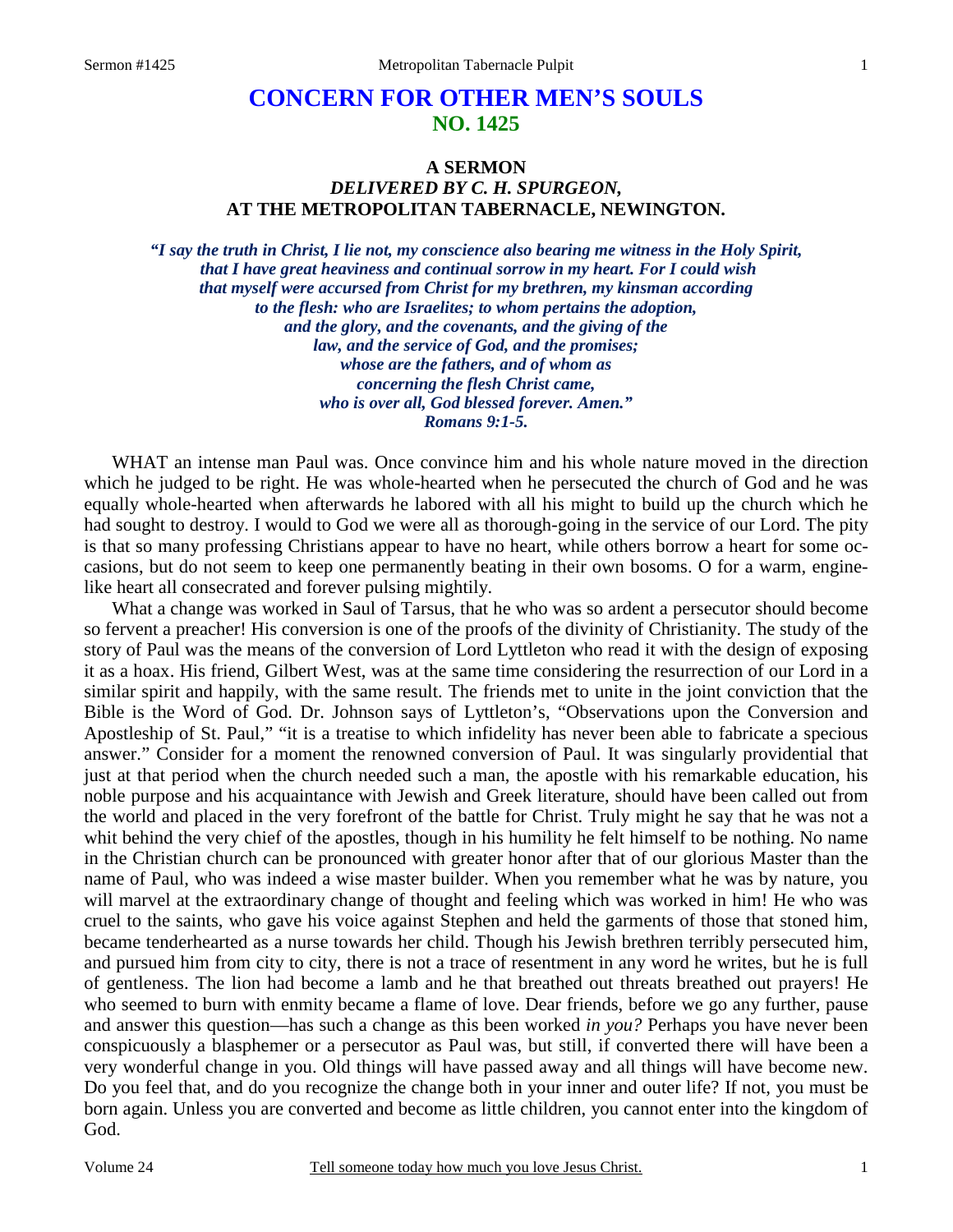# **CONCERN FOR OTHER MEN'S SOULS NO. 1425**

## **A SERMON**  *DELIVERED BY C. H. SPURGEON,*  **AT THE METROPOLITAN TABERNACLE, NEWINGTON.**

*"I say the truth in Christ, I lie not, my conscience also bearing me witness in the Holy Spirit, that I have great heaviness and continual sorrow in my heart. For I could wish that myself were accursed from Christ for my brethren, my kinsman according to the flesh: who are Israelites; to whom pertains the adoption, and the glory, and the covenants, and the giving of the law, and the service of God, and the promises; whose are the fathers, and of whom as concerning the flesh Christ came, who is over all, God blessed forever. Amen." Romans 9:1-5.* 

WHAT an intense man Paul was. Once convince him and his whole nature moved in the direction which he judged to be right. He was whole-hearted when he persecuted the church of God and he was equally whole-hearted when afterwards he labored with all his might to build up the church which he had sought to destroy. I would to God we were all as thorough-going in the service of our Lord. The pity is that so many professing Christians appear to have no heart, while others borrow a heart for some occasions, but do not seem to keep one permanently beating in their own bosoms. O for a warm, enginelike heart all consecrated and forever pulsing mightily.

What a change was worked in Saul of Tarsus, that he who was so ardent a persecutor should become so fervent a preacher! His conversion is one of the proofs of the divinity of Christianity. The study of the story of Paul was the means of the conversion of Lord Lyttleton who read it with the design of exposing it as a hoax. His friend, Gilbert West, was at the same time considering the resurrection of our Lord in a similar spirit and happily, with the same result. The friends met to unite in the joint conviction that the Bible is the Word of God. Dr. Johnson says of Lyttleton's, "Observations upon the Conversion and Apostleship of St. Paul," "it is a treatise to which infidelity has never been able to fabricate a specious answer." Consider for a moment the renowned conversion of Paul. It was singularly providential that just at that period when the church needed such a man, the apostle with his remarkable education, his noble purpose and his acquaintance with Jewish and Greek literature, should have been called out from the world and placed in the very forefront of the battle for Christ. Truly might he say that he was not a whit behind the very chief of the apostles, though in his humility he felt himself to be nothing. No name in the Christian church can be pronounced with greater honor after that of our glorious Master than the name of Paul, who was indeed a wise master builder. When you remember what he was by nature, you will marvel at the extraordinary change of thought and feeling which was worked in him! He who was cruel to the saints, who gave his voice against Stephen and held the garments of those that stoned him, became tenderhearted as a nurse towards her child. Though his Jewish brethren terribly persecuted him, and pursued him from city to city, there is not a trace of resentment in any word he writes, but he is full of gentleness. The lion had become a lamb and he that breathed out threats breathed out prayers! He who seemed to burn with enmity became a flame of love. Dear friends, before we go any further, pause and answer this question—has such a change as this been worked *in you?* Perhaps you have never been conspicuously a blasphemer or a persecutor as Paul was, but still, if converted there will have been a very wonderful change in you. Old things will have passed away and all things will have become new. Do you feel that, and do you recognize the change both in your inner and outer life? If not, you must be born again. Unless you are converted and become as little children, you cannot enter into the kingdom of God.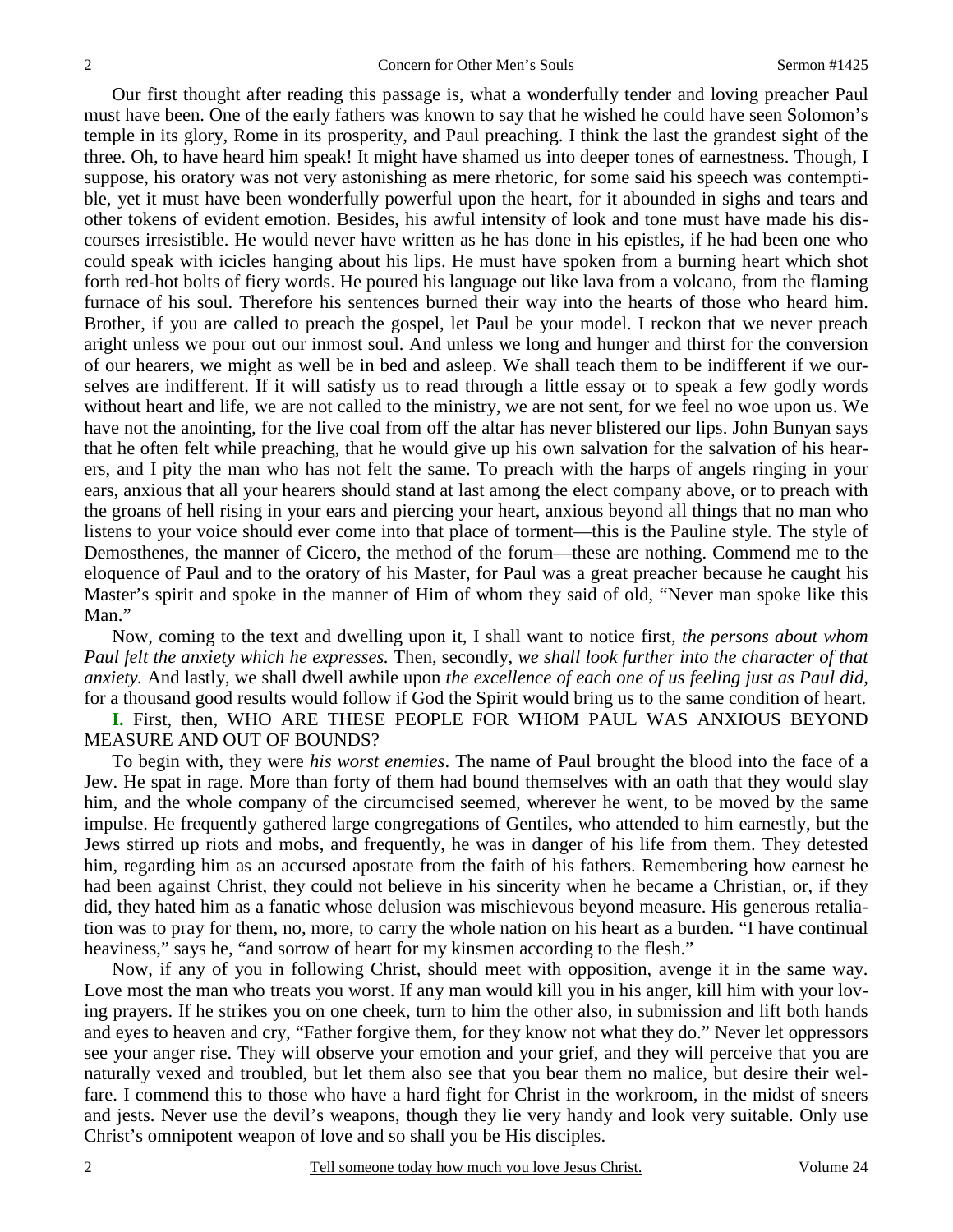Our first thought after reading this passage is, what a wonderfully tender and loving preacher Paul must have been. One of the early fathers was known to say that he wished he could have seen Solomon's temple in its glory, Rome in its prosperity, and Paul preaching. I think the last the grandest sight of the three. Oh, to have heard him speak! It might have shamed us into deeper tones of earnestness. Though, I suppose, his oratory was not very astonishing as mere rhetoric, for some said his speech was contemptible, yet it must have been wonderfully powerful upon the heart, for it abounded in sighs and tears and other tokens of evident emotion. Besides, his awful intensity of look and tone must have made his discourses irresistible. He would never have written as he has done in his epistles, if he had been one who could speak with icicles hanging about his lips. He must have spoken from a burning heart which shot forth red-hot bolts of fiery words. He poured his language out like lava from a volcano, from the flaming furnace of his soul. Therefore his sentences burned their way into the hearts of those who heard him. Brother, if you are called to preach the gospel, let Paul be your model. I reckon that we never preach aright unless we pour out our inmost soul. And unless we long and hunger and thirst for the conversion of our hearers, we might as well be in bed and asleep. We shall teach them to be indifferent if we ourselves are indifferent. If it will satisfy us to read through a little essay or to speak a few godly words without heart and life, we are not called to the ministry, we are not sent, for we feel no woe upon us. We have not the anointing, for the live coal from off the altar has never blistered our lips. John Bunyan says that he often felt while preaching, that he would give up his own salvation for the salvation of his hearers, and I pity the man who has not felt the same. To preach with the harps of angels ringing in your ears, anxious that all your hearers should stand at last among the elect company above, or to preach with the groans of hell rising in your ears and piercing your heart, anxious beyond all things that no man who listens to your voice should ever come into that place of torment—this is the Pauline style. The style of Demosthenes, the manner of Cicero, the method of the forum—these are nothing. Commend me to the eloquence of Paul and to the oratory of his Master, for Paul was a great preacher because he caught his Master's spirit and spoke in the manner of Him of whom they said of old, "Never man spoke like this Man."

Now, coming to the text and dwelling upon it, I shall want to notice first, *the persons about whom Paul felt the anxiety which he expresses.* Then, secondly, *we shall look further into the character of that anxiety.* And lastly, we shall dwell awhile upon *the excellence of each one of us feeling just as Paul did,* for a thousand good results would follow if God the Spirit would bring us to the same condition of heart.

**I.** First, then, WHO ARE THESE PEOPLE FOR WHOM PAUL WAS ANXIOUS BEYOND MEASURE AND OUT OF BOUNDS?

To begin with, they were *his worst enemies*. The name of Paul brought the blood into the face of a Jew. He spat in rage. More than forty of them had bound themselves with an oath that they would slay him, and the whole company of the circumcised seemed, wherever he went, to be moved by the same impulse. He frequently gathered large congregations of Gentiles, who attended to him earnestly, but the Jews stirred up riots and mobs, and frequently, he was in danger of his life from them. They detested him, regarding him as an accursed apostate from the faith of his fathers. Remembering how earnest he had been against Christ, they could not believe in his sincerity when he became a Christian, or, if they did, they hated him as a fanatic whose delusion was mischievous beyond measure. His generous retaliation was to pray for them, no, more, to carry the whole nation on his heart as a burden. "I have continual heaviness," says he, "and sorrow of heart for my kinsmen according to the flesh."

Now, if any of you in following Christ, should meet with opposition, avenge it in the same way. Love most the man who treats you worst. If any man would kill you in his anger, kill him with your loving prayers. If he strikes you on one cheek, turn to him the other also, in submission and lift both hands and eyes to heaven and cry, "Father forgive them, for they know not what they do." Never let oppressors see your anger rise. They will observe your emotion and your grief, and they will perceive that you are naturally vexed and troubled, but let them also see that you bear them no malice, but desire their welfare. I commend this to those who have a hard fight for Christ in the workroom, in the midst of sneers and jests. Never use the devil's weapons, though they lie very handy and look very suitable. Only use Christ's omnipotent weapon of love and so shall you be His disciples.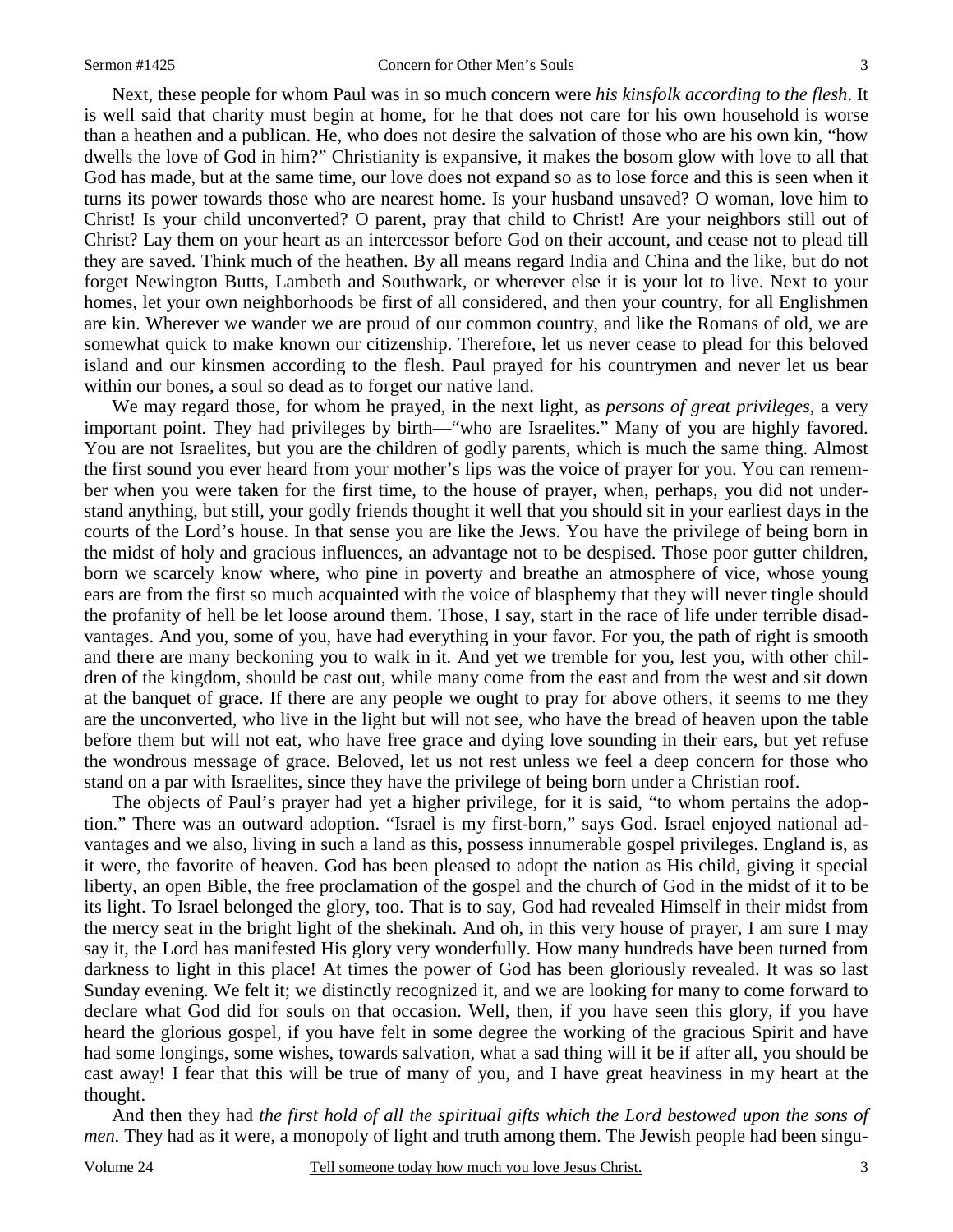Next, these people for whom Paul was in so much concern were *his kinsfolk according to the flesh*. It is well said that charity must begin at home, for he that does not care for his own household is worse than a heathen and a publican. He, who does not desire the salvation of those who are his own kin, "how dwells the love of God in him?" Christianity is expansive, it makes the bosom glow with love to all that God has made, but at the same time, our love does not expand so as to lose force and this is seen when it turns its power towards those who are nearest home. Is your husband unsaved? O woman, love him to Christ! Is your child unconverted? O parent, pray that child to Christ! Are your neighbors still out of Christ? Lay them on your heart as an intercessor before God on their account, and cease not to plead till they are saved. Think much of the heathen. By all means regard India and China and the like, but do not forget Newington Butts, Lambeth and Southwark, or wherever else it is your lot to live. Next to your homes, let your own neighborhoods be first of all considered, and then your country, for all Englishmen are kin. Wherever we wander we are proud of our common country, and like the Romans of old, we are somewhat quick to make known our citizenship. Therefore, let us never cease to plead for this beloved island and our kinsmen according to the flesh. Paul prayed for his countrymen and never let us bear within our bones, a soul so dead as to forget our native land.

We may regard those, for whom he prayed, in the next light, as *persons of great privileges*, a very important point. They had privileges by birth—"who are Israelites." Many of you are highly favored. You are not Israelites, but you are the children of godly parents, which is much the same thing. Almost the first sound you ever heard from your mother's lips was the voice of prayer for you. You can remember when you were taken for the first time, to the house of prayer, when, perhaps, you did not understand anything, but still, your godly friends thought it well that you should sit in your earliest days in the courts of the Lord's house. In that sense you are like the Jews. You have the privilege of being born in the midst of holy and gracious influences, an advantage not to be despised. Those poor gutter children, born we scarcely know where, who pine in poverty and breathe an atmosphere of vice, whose young ears are from the first so much acquainted with the voice of blasphemy that they will never tingle should the profanity of hell be let loose around them. Those, I say, start in the race of life under terrible disadvantages. And you, some of you, have had everything in your favor. For you, the path of right is smooth and there are many beckoning you to walk in it. And yet we tremble for you, lest you, with other children of the kingdom, should be cast out, while many come from the east and from the west and sit down at the banquet of grace. If there are any people we ought to pray for above others, it seems to me they are the unconverted, who live in the light but will not see, who have the bread of heaven upon the table before them but will not eat, who have free grace and dying love sounding in their ears, but yet refuse the wondrous message of grace. Beloved, let us not rest unless we feel a deep concern for those who stand on a par with Israelites, since they have the privilege of being born under a Christian roof.

The objects of Paul's prayer had yet a higher privilege, for it is said, "to whom pertains the adoption." There was an outward adoption. "Israel is my first-born," says God. Israel enjoyed national advantages and we also, living in such a land as this, possess innumerable gospel privileges. England is, as it were, the favorite of heaven. God has been pleased to adopt the nation as His child, giving it special liberty, an open Bible, the free proclamation of the gospel and the church of God in the midst of it to be its light. To Israel belonged the glory, too. That is to say, God had revealed Himself in their midst from the mercy seat in the bright light of the shekinah. And oh, in this very house of prayer, I am sure I may say it, the Lord has manifested His glory very wonderfully. How many hundreds have been turned from darkness to light in this place! At times the power of God has been gloriously revealed. It was so last Sunday evening. We felt it; we distinctly recognized it, and we are looking for many to come forward to declare what God did for souls on that occasion. Well, then, if you have seen this glory, if you have heard the glorious gospel, if you have felt in some degree the working of the gracious Spirit and have had some longings, some wishes, towards salvation, what a sad thing will it be if after all, you should be cast away! I fear that this will be true of many of you, and I have great heaviness in my heart at the thought.

And then they had *the first hold of all the spiritual gifts which the Lord bestowed upon the sons of men.* They had as it were, a monopoly of light and truth among them. The Jewish people had been singu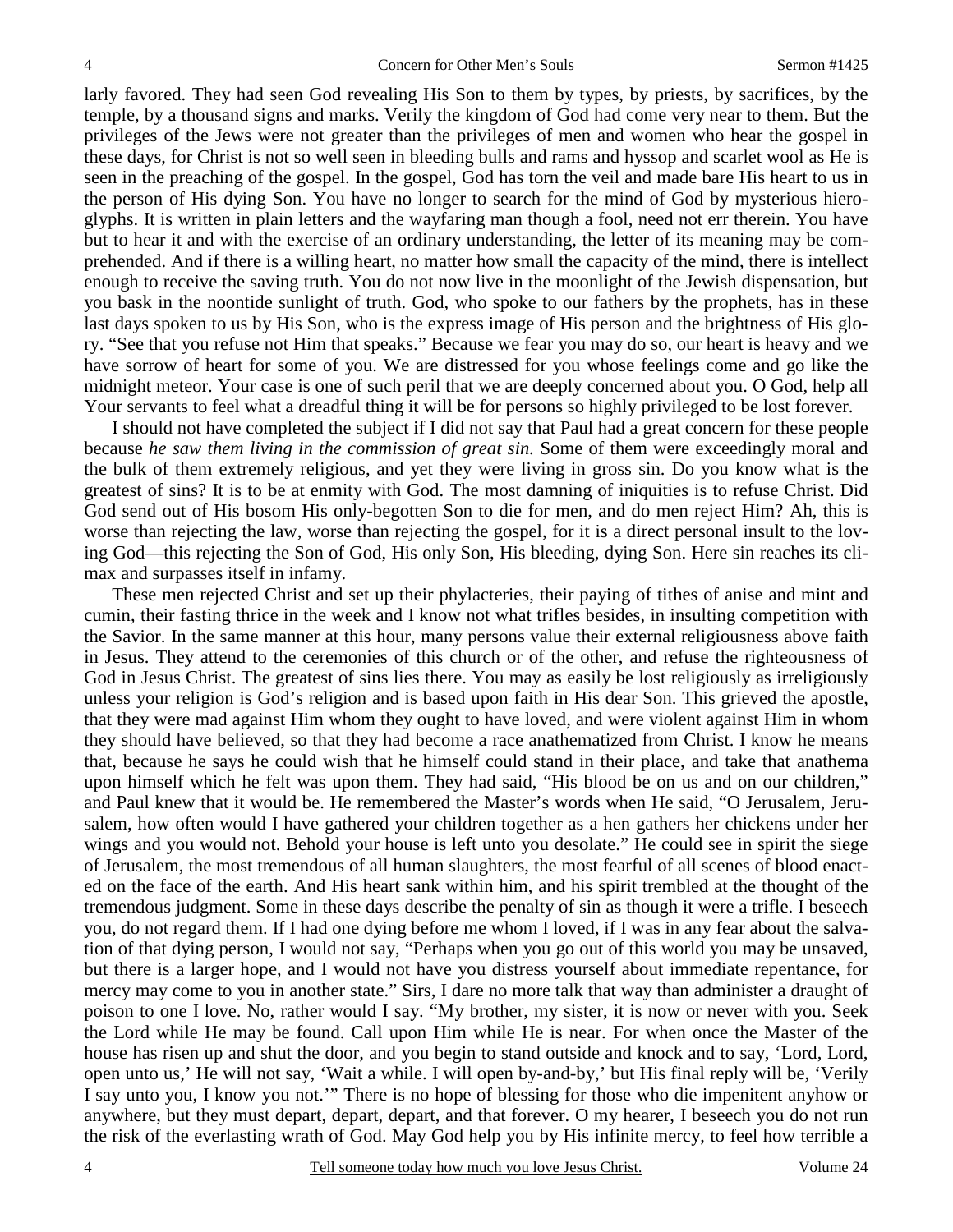larly favored. They had seen God revealing His Son to them by types, by priests, by sacrifices, by the temple, by a thousand signs and marks. Verily the kingdom of God had come very near to them. But the privileges of the Jews were not greater than the privileges of men and women who hear the gospel in these days, for Christ is not so well seen in bleeding bulls and rams and hyssop and scarlet wool as He is seen in the preaching of the gospel. In the gospel, God has torn the veil and made bare His heart to us in the person of His dying Son. You have no longer to search for the mind of God by mysterious hieroglyphs. It is written in plain letters and the wayfaring man though a fool, need not err therein. You have but to hear it and with the exercise of an ordinary understanding, the letter of its meaning may be comprehended. And if there is a willing heart, no matter how small the capacity of the mind, there is intellect enough to receive the saving truth. You do not now live in the moonlight of the Jewish dispensation, but you bask in the noontide sunlight of truth. God, who spoke to our fathers by the prophets, has in these last days spoken to us by His Son, who is the express image of His person and the brightness of His glory. "See that you refuse not Him that speaks." Because we fear you may do so, our heart is heavy and we have sorrow of heart for some of you. We are distressed for you whose feelings come and go like the midnight meteor. Your case is one of such peril that we are deeply concerned about you. O God, help all Your servants to feel what a dreadful thing it will be for persons so highly privileged to be lost forever.

I should not have completed the subject if I did not say that Paul had a great concern for these people because *he saw them living in the commission of great sin.* Some of them were exceedingly moral and the bulk of them extremely religious, and yet they were living in gross sin. Do you know what is the greatest of sins? It is to be at enmity with God. The most damning of iniquities is to refuse Christ. Did God send out of His bosom His only-begotten Son to die for men, and do men reject Him? Ah, this is worse than rejecting the law, worse than rejecting the gospel, for it is a direct personal insult to the loving God—this rejecting the Son of God, His only Son, His bleeding, dying Son. Here sin reaches its climax and surpasses itself in infamy.

These men rejected Christ and set up their phylacteries, their paying of tithes of anise and mint and cumin, their fasting thrice in the week and I know not what trifles besides, in insulting competition with the Savior. In the same manner at this hour, many persons value their external religiousness above faith in Jesus. They attend to the ceremonies of this church or of the other, and refuse the righteousness of God in Jesus Christ. The greatest of sins lies there. You may as easily be lost religiously as irreligiously unless your religion is God's religion and is based upon faith in His dear Son. This grieved the apostle, that they were mad against Him whom they ought to have loved, and were violent against Him in whom they should have believed, so that they had become a race anathematized from Christ. I know he means that, because he says he could wish that he himself could stand in their place, and take that anathema upon himself which he felt was upon them. They had said, "His blood be on us and on our children," and Paul knew that it would be. He remembered the Master's words when He said, "O Jerusalem, Jerusalem, how often would I have gathered your children together as a hen gathers her chickens under her wings and you would not. Behold your house is left unto you desolate." He could see in spirit the siege of Jerusalem, the most tremendous of all human slaughters, the most fearful of all scenes of blood enacted on the face of the earth. And His heart sank within him, and his spirit trembled at the thought of the tremendous judgment. Some in these days describe the penalty of sin as though it were a trifle. I beseech you, do not regard them. If I had one dying before me whom I loved, if I was in any fear about the salvation of that dying person, I would not say, "Perhaps when you go out of this world you may be unsaved, but there is a larger hope, and I would not have you distress yourself about immediate repentance, for mercy may come to you in another state." Sirs, I dare no more talk that way than administer a draught of poison to one I love. No, rather would I say. "My brother, my sister, it is now or never with you. Seek the Lord while He may be found. Call upon Him while He is near. For when once the Master of the house has risen up and shut the door, and you begin to stand outside and knock and to say, 'Lord, Lord, open unto us,' He will not say, 'Wait a while. I will open by-and-by,' but His final reply will be, 'Verily I say unto you, I know you not.'" There is no hope of blessing for those who die impenitent anyhow or anywhere, but they must depart, depart, depart, and that forever. O my hearer, I beseech you do not run the risk of the everlasting wrath of God. May God help you by His infinite mercy, to feel how terrible a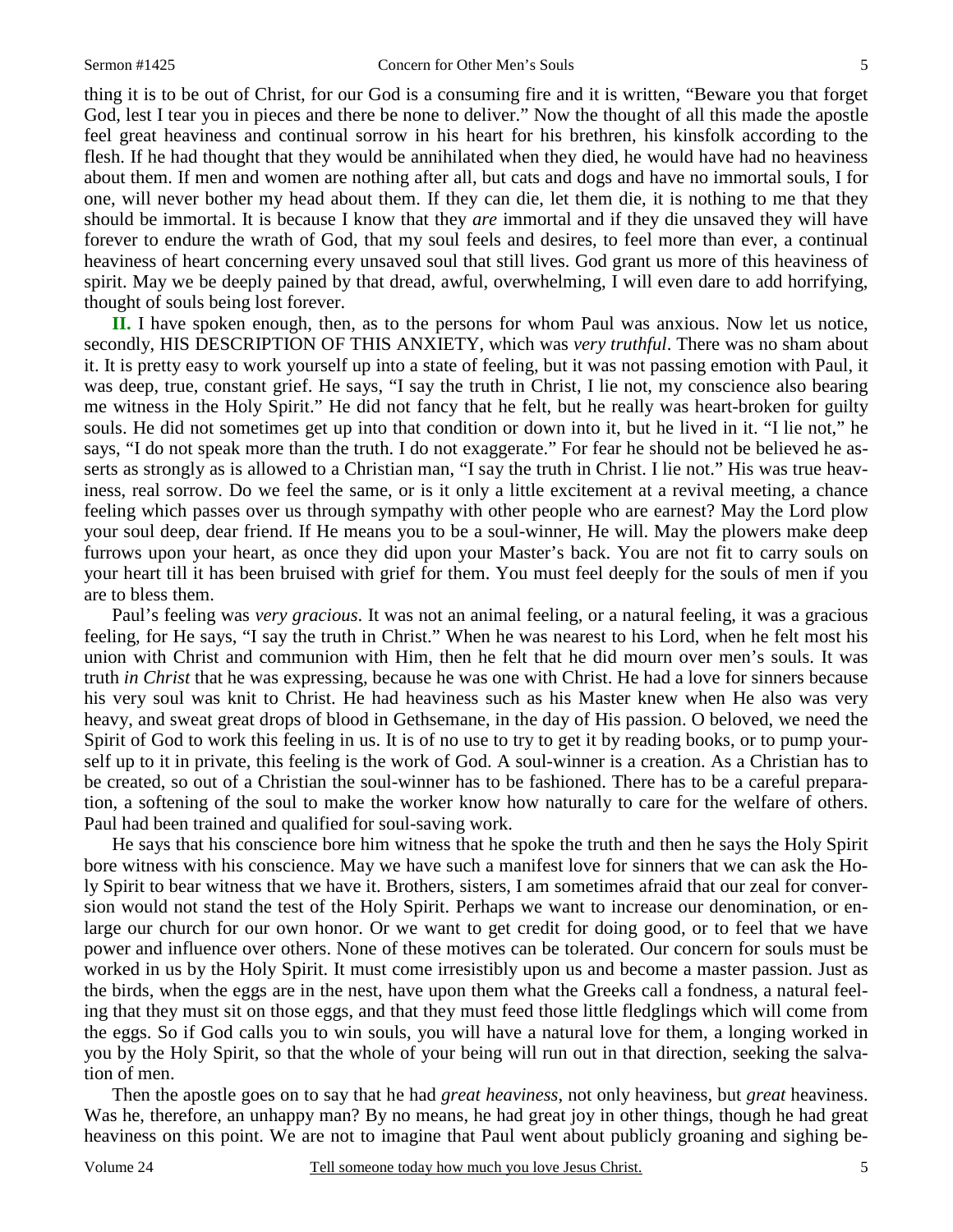thing it is to be out of Christ, for our God is a consuming fire and it is written, "Beware you that forget God, lest I tear you in pieces and there be none to deliver." Now the thought of all this made the apostle feel great heaviness and continual sorrow in his heart for his brethren, his kinsfolk according to the flesh. If he had thought that they would be annihilated when they died, he would have had no heaviness about them. If men and women are nothing after all, but cats and dogs and have no immortal souls, I for one, will never bother my head about them. If they can die, let them die, it is nothing to me that they should be immortal. It is because I know that they *are* immortal and if they die unsaved they will have forever to endure the wrath of God, that my soul feels and desires, to feel more than ever, a continual heaviness of heart concerning every unsaved soul that still lives. God grant us more of this heaviness of spirit. May we be deeply pained by that dread, awful, overwhelming, I will even dare to add horrifying, thought of souls being lost forever.

**II.** I have spoken enough, then, as to the persons for whom Paul was anxious. Now let us notice, secondly, HIS DESCRIPTION OF THIS ANXIETY, which was *very truthful*. There was no sham about it. It is pretty easy to work yourself up into a state of feeling, but it was not passing emotion with Paul, it was deep, true, constant grief. He says, "I say the truth in Christ, I lie not, my conscience also bearing me witness in the Holy Spirit." He did not fancy that he felt, but he really was heart-broken for guilty souls. He did not sometimes get up into that condition or down into it, but he lived in it. "I lie not," he says, "I do not speak more than the truth. I do not exaggerate." For fear he should not be believed he asserts as strongly as is allowed to a Christian man, "I say the truth in Christ. I lie not." His was true heaviness, real sorrow. Do we feel the same, or is it only a little excitement at a revival meeting, a chance feeling which passes over us through sympathy with other people who are earnest? May the Lord plow your soul deep, dear friend. If He means you to be a soul-winner, He will. May the plowers make deep furrows upon your heart, as once they did upon your Master's back. You are not fit to carry souls on your heart till it has been bruised with grief for them. You must feel deeply for the souls of men if you are to bless them.

Paul's feeling was *very gracious*. It was not an animal feeling, or a natural feeling, it was a gracious feeling, for He says, "I say the truth in Christ." When he was nearest to his Lord, when he felt most his union with Christ and communion with Him, then he felt that he did mourn over men's souls. It was truth *in Christ* that he was expressing, because he was one with Christ. He had a love for sinners because his very soul was knit to Christ. He had heaviness such as his Master knew when He also was very heavy, and sweat great drops of blood in Gethsemane, in the day of His passion. O beloved, we need the Spirit of God to work this feeling in us. It is of no use to try to get it by reading books, or to pump yourself up to it in private, this feeling is the work of God. A soul-winner is a creation. As a Christian has to be created, so out of a Christian the soul-winner has to be fashioned. There has to be a careful preparation, a softening of the soul to make the worker know how naturally to care for the welfare of others. Paul had been trained and qualified for soul-saving work.

He says that his conscience bore him witness that he spoke the truth and then he says the Holy Spirit bore witness with his conscience. May we have such a manifest love for sinners that we can ask the Holy Spirit to bear witness that we have it. Brothers, sisters, I am sometimes afraid that our zeal for conversion would not stand the test of the Holy Spirit. Perhaps we want to increase our denomination, or enlarge our church for our own honor. Or we want to get credit for doing good, or to feel that we have power and influence over others. None of these motives can be tolerated. Our concern for souls must be worked in us by the Holy Spirit. It must come irresistibly upon us and become a master passion. Just as the birds, when the eggs are in the nest, have upon them what the Greeks call a fondness, a natural feeling that they must sit on those eggs, and that they must feed those little fledglings which will come from the eggs. So if God calls you to win souls, you will have a natural love for them, a longing worked in you by the Holy Spirit, so that the whole of your being will run out in that direction, seeking the salvation of men.

Then the apostle goes on to say that he had *great heaviness*, not only heaviness, but *great* heaviness. Was he, therefore, an unhappy man? By no means, he had great joy in other things, though he had great heaviness on this point. We are not to imagine that Paul went about publicly groaning and sighing be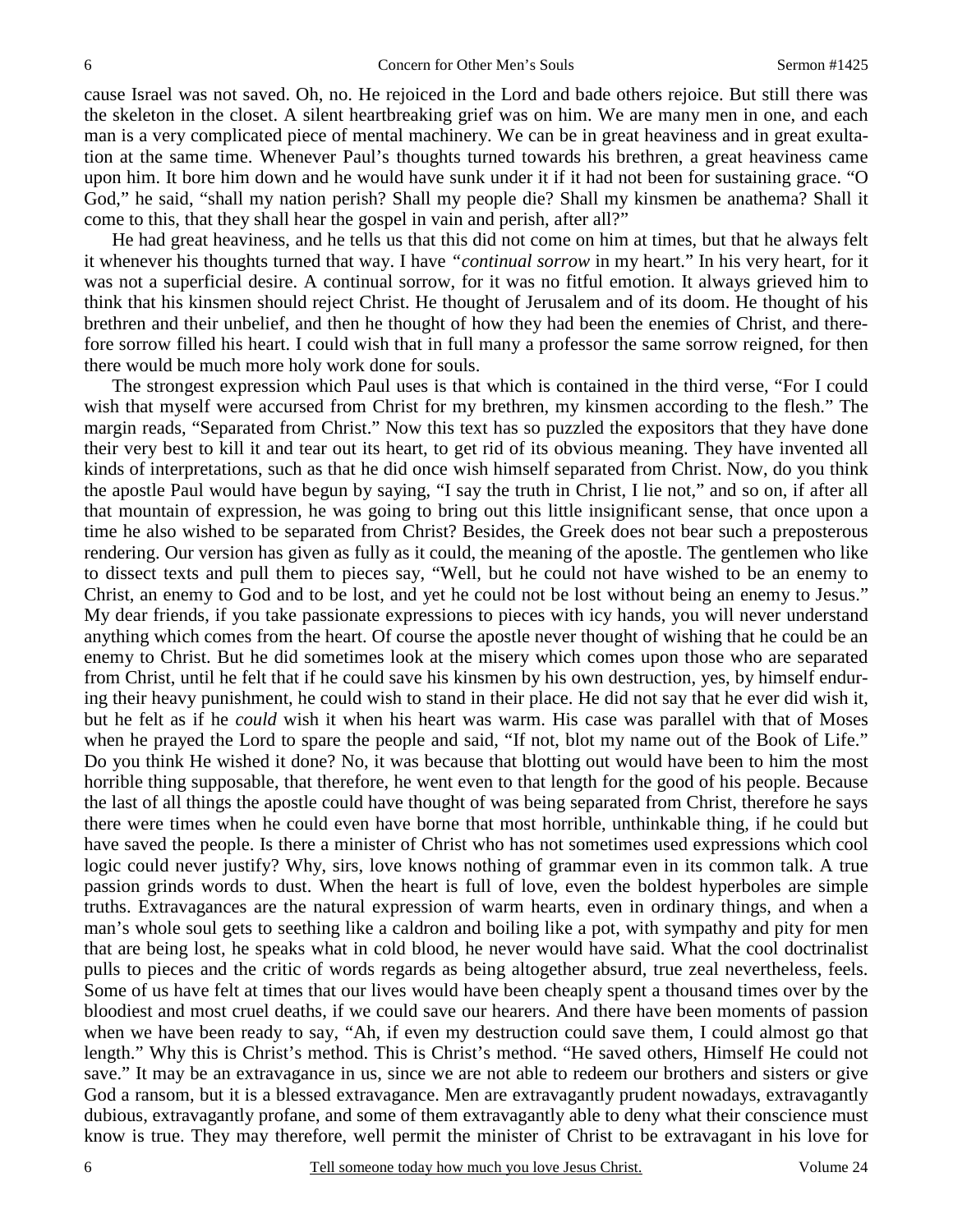cause Israel was not saved. Oh, no. He rejoiced in the Lord and bade others rejoice. But still there was the skeleton in the closet. A silent heartbreaking grief was on him. We are many men in one, and each man is a very complicated piece of mental machinery. We can be in great heaviness and in great exultation at the same time. Whenever Paul's thoughts turned towards his brethren, a great heaviness came upon him. It bore him down and he would have sunk under it if it had not been for sustaining grace. "O God," he said, "shall my nation perish? Shall my people die? Shall my kinsmen be anathema? Shall it come to this, that they shall hear the gospel in vain and perish, after all?"

He had great heaviness, and he tells us that this did not come on him at times, but that he always felt it whenever his thoughts turned that way. I have *"continual sorrow* in my heart." In his very heart, for it was not a superficial desire. A continual sorrow, for it was no fitful emotion. It always grieved him to think that his kinsmen should reject Christ. He thought of Jerusalem and of its doom. He thought of his brethren and their unbelief, and then he thought of how they had been the enemies of Christ, and therefore sorrow filled his heart. I could wish that in full many a professor the same sorrow reigned, for then there would be much more holy work done for souls.

The strongest expression which Paul uses is that which is contained in the third verse, "For I could wish that myself were accursed from Christ for my brethren, my kinsmen according to the flesh." The margin reads, "Separated from Christ." Now this text has so puzzled the expositors that they have done their very best to kill it and tear out its heart, to get rid of its obvious meaning. They have invented all kinds of interpretations, such as that he did once wish himself separated from Christ. Now, do you think the apostle Paul would have begun by saying, "I say the truth in Christ, I lie not," and so on, if after all that mountain of expression, he was going to bring out this little insignificant sense, that once upon a time he also wished to be separated from Christ? Besides, the Greek does not bear such a preposterous rendering. Our version has given as fully as it could, the meaning of the apostle. The gentlemen who like to dissect texts and pull them to pieces say, "Well, but he could not have wished to be an enemy to Christ, an enemy to God and to be lost, and yet he could not be lost without being an enemy to Jesus." My dear friends, if you take passionate expressions to pieces with icy hands, you will never understand anything which comes from the heart. Of course the apostle never thought of wishing that he could be an enemy to Christ. But he did sometimes look at the misery which comes upon those who are separated from Christ, until he felt that if he could save his kinsmen by his own destruction, yes, by himself enduring their heavy punishment, he could wish to stand in their place. He did not say that he ever did wish it, but he felt as if he *could* wish it when his heart was warm. His case was parallel with that of Moses when he prayed the Lord to spare the people and said, "If not, blot my name out of the Book of Life." Do you think He wished it done? No, it was because that blotting out would have been to him the most horrible thing supposable, that therefore, he went even to that length for the good of his people. Because the last of all things the apostle could have thought of was being separated from Christ, therefore he says there were times when he could even have borne that most horrible, unthinkable thing, if he could but have saved the people. Is there a minister of Christ who has not sometimes used expressions which cool logic could never justify? Why, sirs, love knows nothing of grammar even in its common talk. A true passion grinds words to dust. When the heart is full of love, even the boldest hyperboles are simple truths. Extravagances are the natural expression of warm hearts, even in ordinary things, and when a man's whole soul gets to seething like a caldron and boiling like a pot, with sympathy and pity for men that are being lost, he speaks what in cold blood, he never would have said. What the cool doctrinalist pulls to pieces and the critic of words regards as being altogether absurd, true zeal nevertheless, feels. Some of us have felt at times that our lives would have been cheaply spent a thousand times over by the bloodiest and most cruel deaths, if we could save our hearers. And there have been moments of passion when we have been ready to say, "Ah, if even my destruction could save them, I could almost go that length." Why this is Christ's method. This is Christ's method. "He saved others, Himself He could not save." It may be an extravagance in us, since we are not able to redeem our brothers and sisters or give God a ransom, but it is a blessed extravagance. Men are extravagantly prudent nowadays, extravagantly dubious, extravagantly profane, and some of them extravagantly able to deny what their conscience must know is true. They may therefore, well permit the minister of Christ to be extravagant in his love for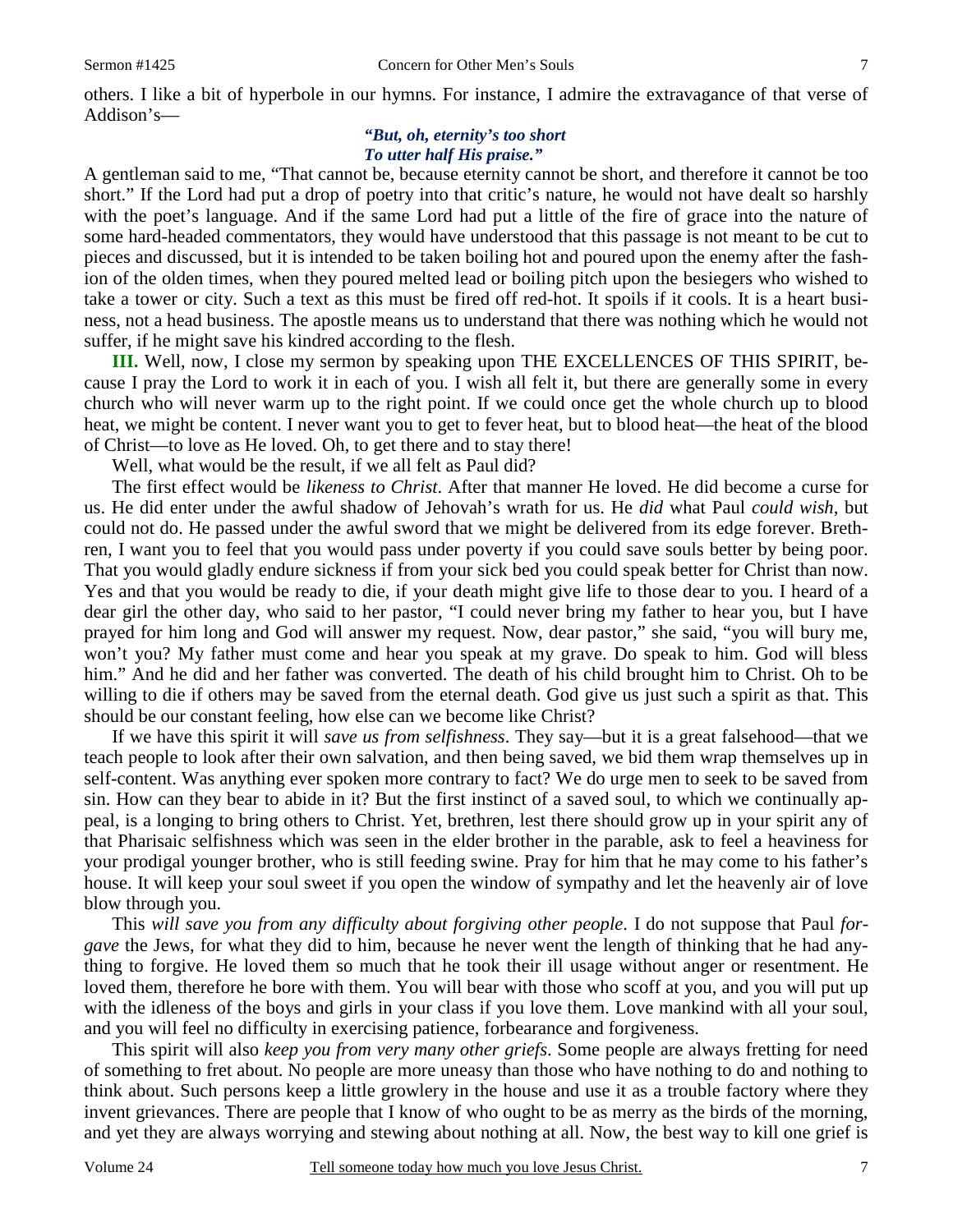others. I like a bit of hyperbole in our hymns. For instance, I admire the extravagance of that verse of Addison's—

#### *"But, oh, eternity's too short To utter half His praise."*

A gentleman said to me, "That cannot be, because eternity cannot be short, and therefore it cannot be too short." If the Lord had put a drop of poetry into that critic's nature, he would not have dealt so harshly with the poet's language. And if the same Lord had put a little of the fire of grace into the nature of some hard-headed commentators, they would have understood that this passage is not meant to be cut to pieces and discussed, but it is intended to be taken boiling hot and poured upon the enemy after the fashion of the olden times, when they poured melted lead or boiling pitch upon the besiegers who wished to take a tower or city. Such a text as this must be fired off red-hot. It spoils if it cools. It is a heart business, not a head business. The apostle means us to understand that there was nothing which he would not suffer, if he might save his kindred according to the flesh.

**III.** Well, now, I close my sermon by speaking upon THE EXCELLENCES OF THIS SPIRIT, because I pray the Lord to work it in each of you. I wish all felt it, but there are generally some in every church who will never warm up to the right point. If we could once get the whole church up to blood heat, we might be content. I never want you to get to fever heat, but to blood heat—the heat of the blood of Christ—to love as He loved. Oh, to get there and to stay there!

Well, what would be the result, if we all felt as Paul did?

The first effect would be *likeness to Christ*. After that manner He loved. He did become a curse for us. He did enter under the awful shadow of Jehovah's wrath for us. He *did* what Paul *could wish,* but could not do. He passed under the awful sword that we might be delivered from its edge forever. Brethren, I want you to feel that you would pass under poverty if you could save souls better by being poor. That you would gladly endure sickness if from your sick bed you could speak better for Christ than now. Yes and that you would be ready to die, if your death might give life to those dear to you. I heard of a dear girl the other day, who said to her pastor, "I could never bring my father to hear you, but I have prayed for him long and God will answer my request. Now, dear pastor," she said, "you will bury me, won't you? My father must come and hear you speak at my grave. Do speak to him. God will bless him." And he did and her father was converted. The death of his child brought him to Christ. Oh to be willing to die if others may be saved from the eternal death. God give us just such a spirit as that. This should be our constant feeling, how else can we become like Christ?

If we have this spirit it will *save us from selfishness*. They say—but it is a great falsehood—that we teach people to look after their own salvation, and then being saved, we bid them wrap themselves up in self-content. Was anything ever spoken more contrary to fact? We do urge men to seek to be saved from sin. How can they bear to abide in it? But the first instinct of a saved soul, to which we continually appeal, is a longing to bring others to Christ. Yet, brethren, lest there should grow up in your spirit any of that Pharisaic selfishness which was seen in the elder brother in the parable, ask to feel a heaviness for your prodigal younger brother, who is still feeding swine. Pray for him that he may come to his father's house. It will keep your soul sweet if you open the window of sympathy and let the heavenly air of love blow through you.

This *will save you from any difficulty about forgiving other people*. I do not suppose that Paul *forgave* the Jews, for what they did to him, because he never went the length of thinking that he had anything to forgive. He loved them so much that he took their ill usage without anger or resentment. He loved them, therefore he bore with them. You will bear with those who scoff at you, and you will put up with the idleness of the boys and girls in your class if you love them. Love mankind with all your soul, and you will feel no difficulty in exercising patience, forbearance and forgiveness.

This spirit will also *keep you from very many other griefs*. Some people are always fretting for need of something to fret about. No people are more uneasy than those who have nothing to do and nothing to think about. Such persons keep a little growlery in the house and use it as a trouble factory where they invent grievances. There are people that I know of who ought to be as merry as the birds of the morning, and yet they are always worrying and stewing about nothing at all. Now, the best way to kill one grief is